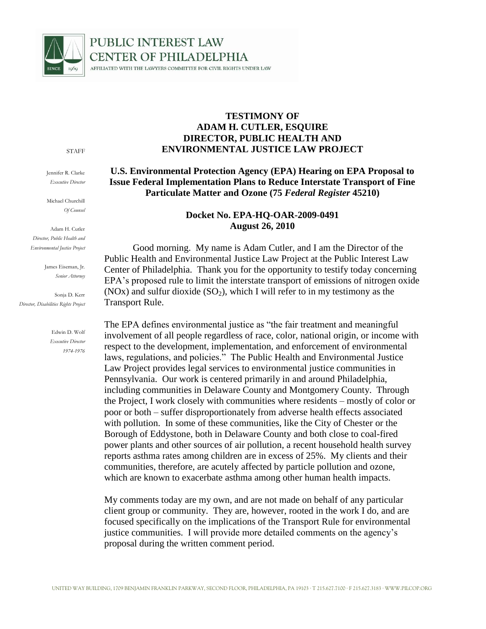

# **PUBLIC INTEREST LAW CENTER OF PHILADELPHIA** AFFILIATED WITH THE LAWYERS COMMITTEE FOR CIVIL RIGHTS UNDER LAW

#### STAFF

Jennifer R. Clarke *Executive Director*

Michael Churchill *Of Counsel*

Adam H. Cutler *Director, Public Health and Environmental Justice Project*

> James Eiseman, Jr. *Senior Attorney*

Sonja D. Kerr *Director, Disabilities Rights Project*

> Edwin D. Wolf *Executive Director 1974-1976*

### **TESTIMONY OF ADAM H. CUTLER, ESQUIRE DIRECTOR, PUBLIC HEALTH AND ENVIRONMENTAL JUSTICE LAW PROJECT**

## **U.S. Environmental Protection Agency (EPA) Hearing on EPA Proposal to Issue Federal Implementation Plans to Reduce Interstate Transport of Fine Particulate Matter and Ozone (75** *Federal Register* **45210)**

### **Docket No. EPA-HQ-OAR-2009-0491 August 26, 2010**

Good morning. My name is Adam Cutler, and I am the Director of the Public Health and Environmental Justice Law Project at the Public Interest Law Center of Philadelphia. Thank you for the opportunity to testify today concerning EPA's proposed rule to limit the interstate transport of emissions of nitrogen oxide (NOx) and sulfur dioxide  $(SO<sub>2</sub>)$ , which I will refer to in my testimony as the Transport Rule.

The EPA defines environmental justice as "the fair treatment and meaningful involvement of all people regardless of race, color, national origin, or income with respect to the development, implementation, and enforcement of environmental laws, regulations, and policies." The Public Health and Environmental Justice Law Project provides legal services to environmental justice communities in Pennsylvania. Our work is centered primarily in and around Philadelphia, including communities in Delaware County and Montgomery County. Through the Project, I work closely with communities where residents – mostly of color or poor or both – suffer disproportionately from adverse health effects associated with pollution. In some of these communities, like the City of Chester or the Borough of Eddystone, both in Delaware County and both close to coal-fired power plants and other sources of air pollution, a recent household health survey reports asthma rates among children are in excess of 25%. My clients and their communities, therefore, are acutely affected by particle pollution and ozone, which are known to exacerbate asthma among other human health impacts.

My comments today are my own, and are not made on behalf of any particular client group or community. They are, however, rooted in the work I do, and are focused specifically on the implications of the Transport Rule for environmental justice communities. I will provide more detailed comments on the agency's proposal during the written comment period.